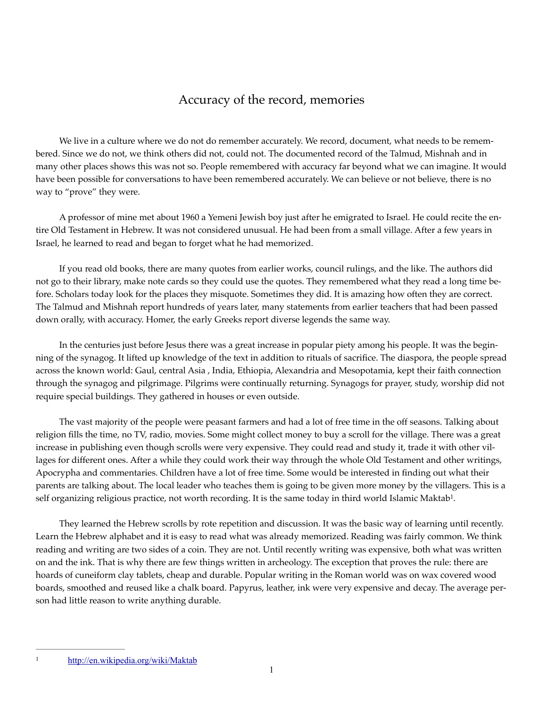## Accuracy of the record, memories

 We live in a culture where we do not do remember accurately. We record, document, what needs to be remembered. Since we do not, we think others did not, could not. The documented record of the Talmud, Mishnah and in many other places shows this was not so. People remembered with accuracy far beyond what we can imagine. It would have been possible for conversations to have been remembered accurately. We can believe or not believe, there is no way to "prove" they were.

 A professor of mine met about 1960 a Yemeni Jewish boy just after he emigrated to Israel. He could recite the entire Old Testament in Hebrew. It was not considered unusual. He had been from a small village. After a few years in Israel, he learned to read and began to forget what he had memorized.

 If you read old books, there are many quotes from earlier works, council rulings, and the like. The authors did not go to their library, make note cards so they could use the quotes. They remembered what they read a long time before. Scholars today look for the places they misquote. Sometimes they did. It is amazing how often they are correct. The Talmud and Mishnah report hundreds of years later, many statements from earlier teachers that had been passed down orally, with accuracy. Homer, the early Greeks report diverse legends the same way.

 In the centuries just before Jesus there was a great increase in popular piety among his people. It was the beginning of the synagog. It lifted up knowledge of the text in addition to rituals of sacrifice. The diaspora, the people spread across the known world: Gaul, central Asia , India, Ethiopia, Alexandria and Mesopotamia, kept their faith connection through the synagog and pilgrimage. Pilgrims were continually returning. Synagogs for prayer, study, worship did not require special buildings. They gathered in houses or even outside.

 The vast majority of the people were peasant farmers and had a lot of free time in the off seasons. Talking about religion fills the time, no TV, radio, movies. Some might collect money to buy a scroll for the village. There was a great increase in publishing even though scrolls were very expensive. They could read and study it, trade it with other villages for different ones. After a while they could work their way through the whole Old Testament and other writings, Apocrypha and commentaries. Children have a lot of free time. Some would be interested in finding out what their parents are talking about. The local leader who teaches them is going to be given more money by the villagers. This is a self organizing religious practice, not worth recording. It is the same today in third world Islamic Maktab<sup>1</sup>.

 They learned the Hebrew scrolls by rote repetition and discussion. It was the basic way of learning until recently. Learn the Hebrew alphabet and it is easy to read what was already memorized. Reading was fairly common. We think reading and writing are two sides of a coin. They are not. Until recently writing was expensive, both what was written on and the ink. That is why there are few things written in archeology. The exception that proves the rule: there are hoards of cuneiform clay tablets, cheap and durable. Popular writing in the Roman world was on wax covered wood boards, smoothed and reused like a chalk board. Papyrus, leather, ink were very expensive and decay. The average person had little reason to write anything durable.

<sup>&</sup>lt;sup>1</sup> http://en.wikipedia.org/wiki/Maktab